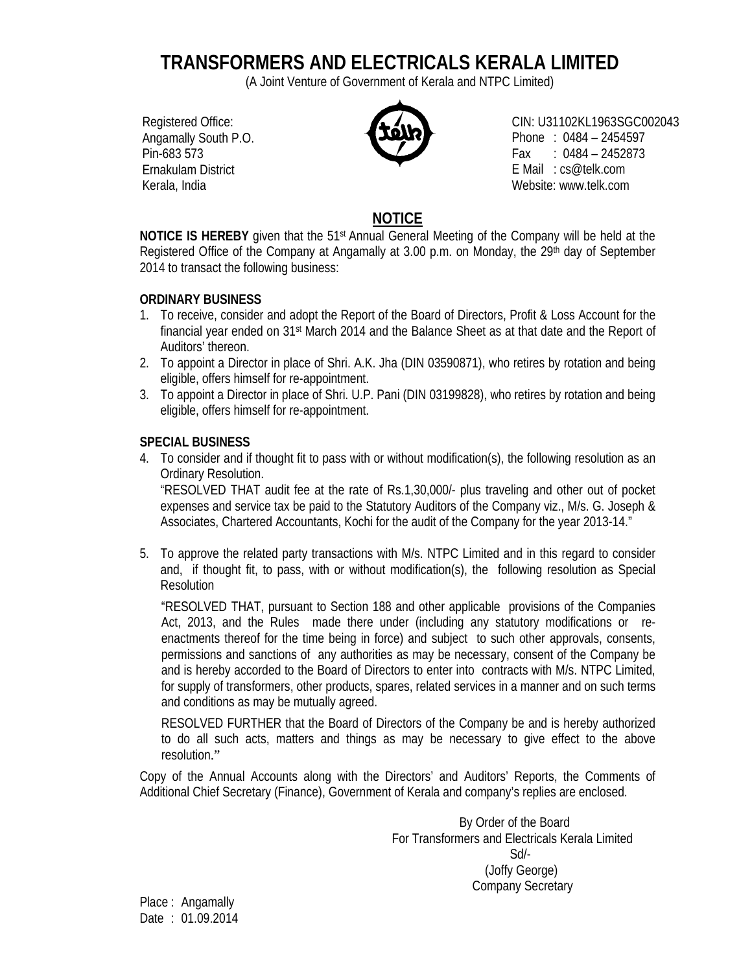# **TRANSFORMERS AND ELECTRICALS KERALA LIMITED**

(A Joint Venture of Government of Kerala and NTPC Limited)

Registered Office: Angamally South P.O. Pin-683 573 Ernakulam District Kerala, India



CIN: U31102KL1963SGC002043 Phone : 0484 – 2454597 Fax :  $0484 - 2452873$ E Mail : cs@telk.com Website: www.telk.com

# **NOTICE**

**NOTICE IS HEREBY** given that the 51<sup>st</sup> Annual General Meeting of the Company will be held at the Registered Office of the Company at Angamally at 3.00 p.m. on Monday, the 29<sup>th</sup> day of September 2014 to transact the following business:

## **ORDINARY BUSINESS**

- 1. To receive, consider and adopt the Report of the Board of Directors, Profit & Loss Account for the financial year ended on 31st March 2014 and the Balance Sheet as at that date and the Report of Auditors' thereon.
- 2. To appoint a Director in place of Shri. A.K. Jha (DIN 03590871), who retires by rotation and being eligible, offers himself for re-appointment.
- 3. To appoint a Director in place of Shri. U.P. Pani (DIN 03199828), who retires by rotation and being eligible, offers himself for re-appointment.

## **SPECIAL BUSINESS**

4. To consider and if thought fit to pass with or without modification(s), the following resolution as an Ordinary Resolution.

"RESOLVED THAT audit fee at the rate of Rs.1,30,000/- plus traveling and other out of pocket expenses and service tax be paid to the Statutory Auditors of the Company viz., M/s. G. Joseph & Associates, Chartered Accountants, Kochi for the audit of the Company for the year 2013-14."

5. To approve the related party transactions with M/s. NTPC Limited and in this regard to consider and, if thought fit, to pass, with or without modification(s), the following resolution as Special Resolution

"RESOLVED THAT, pursuant to Section 188 and other applicable provisions of the Companies Act, 2013, and the Rules made there under (including any statutory modifications or reenactments thereof for the time being in force) and subject to such other approvals, consents, permissions and sanctions of any authorities as may be necessary, consent of the Company be and is hereby accorded to the Board of Directors to enter into contracts with M/s. NTPC Limited, for supply of transformers, other products, spares, related services in a manner and on such terms and conditions as may be mutually agreed.

RESOLVED FURTHER that the Board of Directors of the Company be and is hereby authorized to do all such acts, matters and things as may be necessary to give effect to the above resolution."

Copy of the Annual Accounts along with the Directors' and Auditors' Reports, the Comments of Additional Chief Secretary (Finance), Government of Kerala and company's replies are enclosed.

> By Order of the Board For Transformers and Electricals Kerala Limited Sd/- (Joffy George) Company Secretary

Place : Angamally Date : 01.09.2014